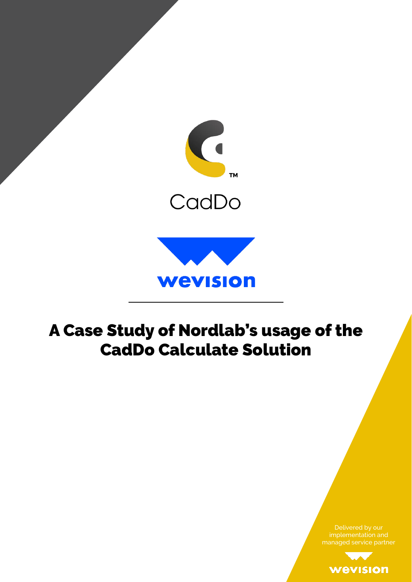

# A Case Study of Nordlab's usage of the CadDo Calculate Solution

managed service partner